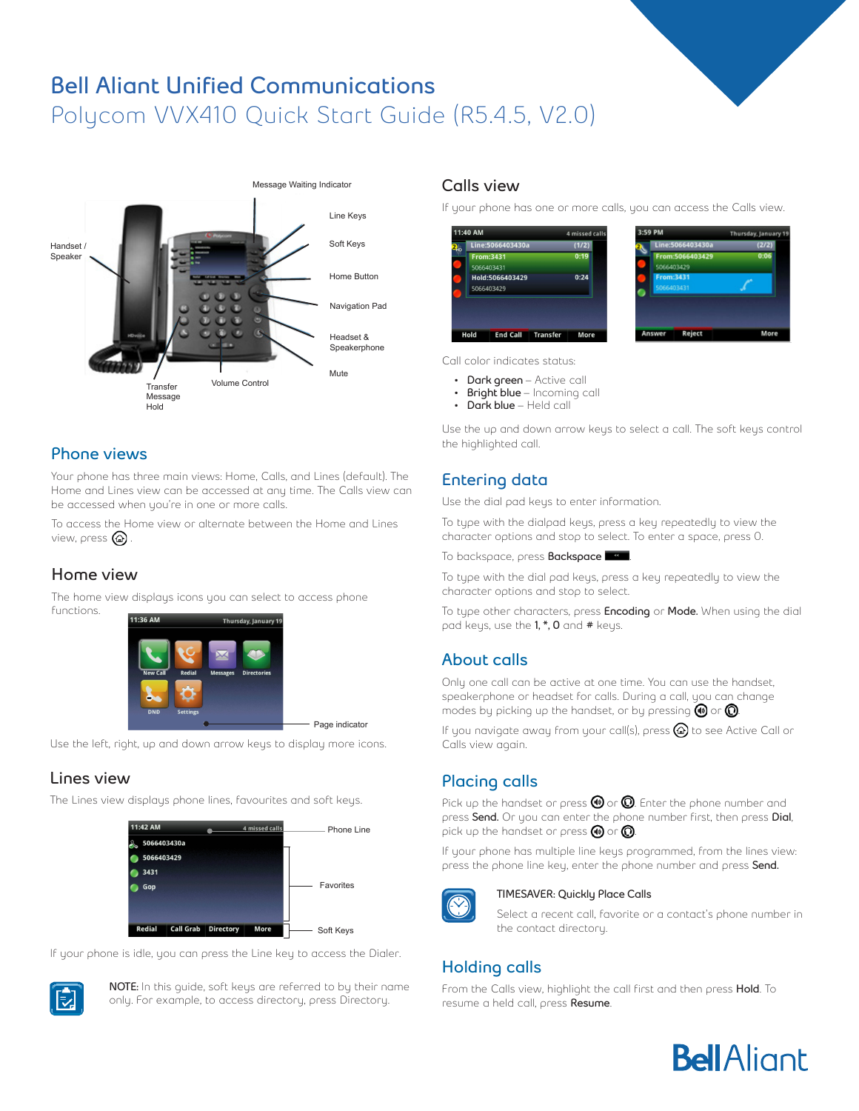# **Bell Aliant Unified Communications** Polycom VVX410 Quick Start Guide (R5.4.5, V2.0)



# **Phone views**

Your phone has three main views: Home, Calls, and Lines (default). The Home and Lines view can be accessed at any time. The Calls view can be accessed when you're in one or more calls.

To access the Home view or alternate between the Home and Lines view, press  $\bigcirc$ 

# **Home view**

The home view displays icons you can select to access phone functions.



Use the left, right, up and down arrow keys to display more icons.

# **Lines view**

The Lines view displays phone lines, favourites and soft keys.



Page indicator

If your phone is idle, you can press the Line key to access the Dialer.



**NOTE:** In this guide, soft keys are referred to by their name only. For example, to access directory, press Directory.

#### **Calls view**

If your phone has one or more calls, you can access the Calls view.

| 11:40 AM       |                 |                  |                 | 4 missed calls | 3:59 PM          | Thursday, January 19 |
|----------------|-----------------|------------------|-----------------|----------------|------------------|----------------------|
| $\mathbf{a}_p$ |                 | Line:5066403430a |                 | (1/2)          | Line:5066403430a | (2/2)                |
|                | From:3431       |                  |                 | 0:19           | From: 5066403429 | 0:06                 |
|                | 5066403431      |                  |                 |                | 5066403429       |                      |
|                | Hold:5066403429 |                  |                 | 0:24           | From:3431        |                      |
|                | 5066403429      |                  |                 |                | 5066403431<br>o  |                      |
|                |                 |                  |                 |                |                  |                      |
|                |                 |                  |                 |                |                  |                      |
|                |                 |                  |                 |                |                  |                      |
|                | Hold            | <b>End Call</b>  | <b>Transfer</b> | More           | Reject<br>Answer | More                 |

Call color indicates status:

- **• Dark green**  Active call
- **• Bright blue**  Incoming call
- **• Dark blue**  Held call

Use the up and down arrow keys to select a call. The soft keys control the highlighted call.

#### **Entering data**

Use the dial pad keys to enter information.

To type with the dialpad keys, press a key repeatedly to view the character options and stop to select. To enter a space, press 0.

To backspace, press **Backspace** .

To type with the dial pad keys, press a key repeatedly to view the character options and stop to select.

To type other characters, press **Encoding** or **Mode.** When using the dial pad keys, use the **1, \*, 0** and **#** keys.

# **About calls**

Only one call can be active at one time. You can use the handset, speakerphone or headset for calls. During a call, you can change modes by picking up the handset, or by pressing  $\bm{\Theta}$  or  $\bm{\mathcal{O}}$ .

If you navigate away from your call(s), press  $\circledast$  to see Active Call or Calls view again.

# **Placing calls**

Pick up the handset or press  $\bm{\copyright}$  or  $\bm{\copyright}$ . Enter the phone number and press **Send.** Or you can enter the phone number first, then press **Dial**, pick up the handset or press  $\bm{\Theta}$  or  $\bm{\mathsf{O}}$ .

If your phone has multiple line keys programmed, from the lines view: press the phone line key, enter the phone number and press **Send.**



#### **TIMESAVER: Quickly Place Calls**

Select a recent call, favorite or a contact's phone number in the contact directory.

# **Holding calls**

From the Calls view, highlight the call first and then press **Hold**. To resume a held call, press **Resume**.